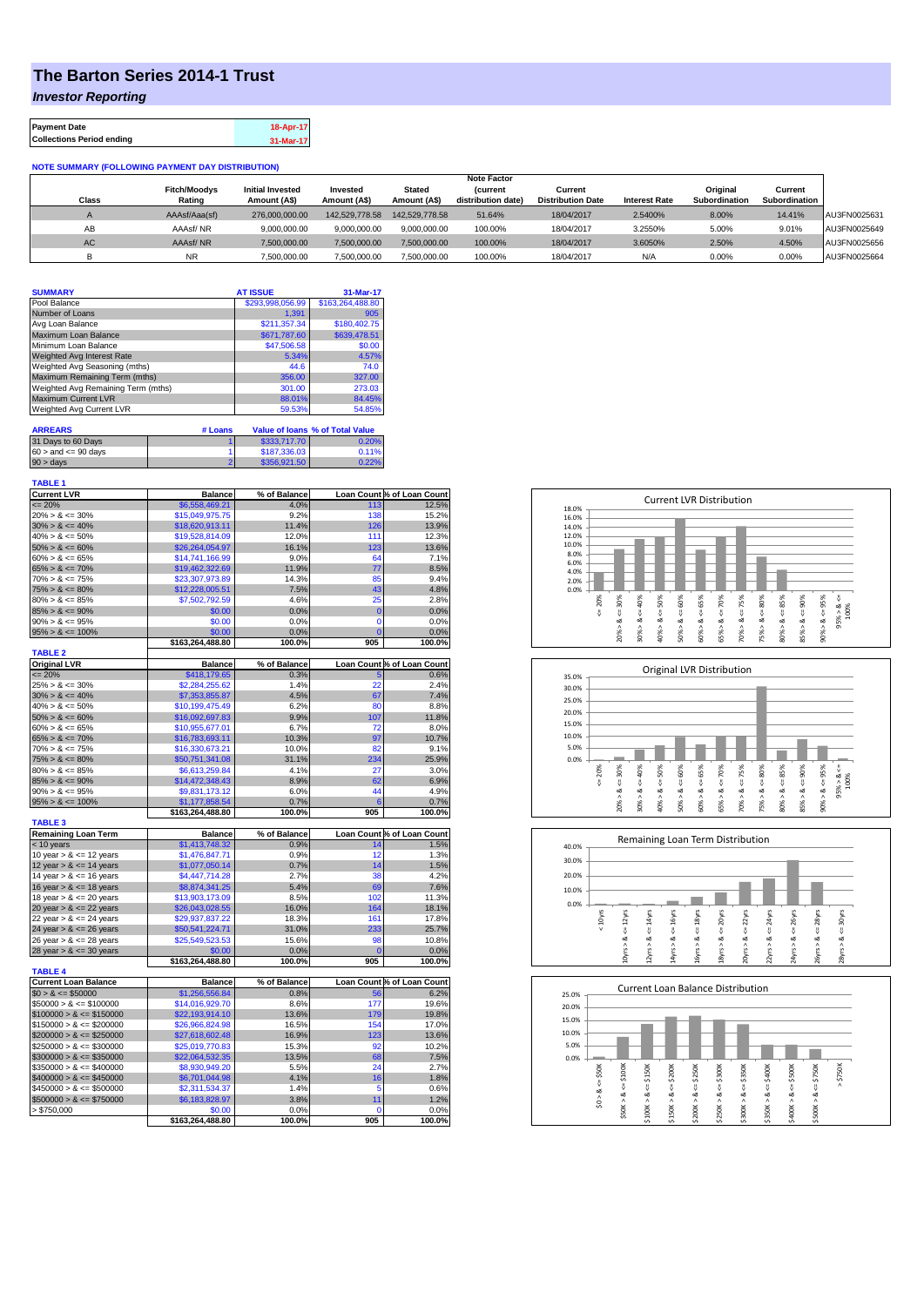## **The Barton Series 2014-1 Trust**

*Investor Reporting*

| <b>Payment Date</b>              | 18-Apr-17 |
|----------------------------------|-----------|
| <b>Collections Period ending</b> | 31-Mar-17 |

## **NOTE SUMMARY (FOLLOWING PAYMENT DAY DISTRIBUTION)**

|              |                     |                         |                |                | <b>Note Factor</b> |                          |                      |               |               |              |
|--------------|---------------------|-------------------------|----------------|----------------|--------------------|--------------------------|----------------------|---------------|---------------|--------------|
|              | <b>Fitch/Moodvs</b> | <b>Initial Invested</b> | Invested       | <b>Stated</b>  | <b>Current</b>     | Current                  |                      | Original      | Current       |              |
| <b>Class</b> | Rating              | Amount (A\$)            | Amount (A\$)   | Amount (A\$)   | distribution date) | <b>Distribution Date</b> | <b>Interest Rate</b> | Subordination | Subordination |              |
|              | AAAsf/Aaa(sf)       | 276,000,000,00          | 142.529.778.58 | 142.529.778.58 | 51.64%             | 18/04/2017               | 2.5400%              | 8.00%         | 14.41%        | AU3FN0025631 |
| AB           | AAAsf/NR            | 9.000.000.00            | 9.000.000.00   | 9.000.000.00   | 100.00%            | 18/04/2017               | 3.2550%              | 5.00%         | 9.01%         | AU3FN0025649 |
| <b>AC</b>    | AAAsf/NR            | 7,500,000.00            | 7.500.000.00   | 7.500.000.00   | 100.00%            | 18/04/2017               | 3.6050%              | 2.50%         | 4.50%         | AU3FN0025656 |
|              | NR                  | 7.500.000.00            | 7.500.000.00   | 7.500.000.00   | 100.00%            | 18/04/2017               | N/A                  | 0.00%         | 0.00%         | AU3FN0025664 |

| <b>SUMMARY</b>                     |         | <b>AT ISSUE</b>    | 31-Mar-17                              |  |
|------------------------------------|---------|--------------------|----------------------------------------|--|
| Pool Balance                       |         | \$293,998,056.99   | \$163,264,488.80                       |  |
| Number of Loans                    |         | 1.391              | 905                                    |  |
| Avg Loan Balance                   |         | \$211.357.34       | \$180,402.75                           |  |
| Maximum Loan Balance               |         | \$671,787.60       | \$639,478.51                           |  |
| Minimum Loan Balance               |         | \$47,506.58        | \$0.00                                 |  |
| Weighted Avg Interest Rate         |         | 5.34%              | 4.57%                                  |  |
| Weighted Avg Seasoning (mths)      |         | 44.6               | 74.0                                   |  |
| Maximum Remaining Term (mths)      |         | 356.00             | 327.00                                 |  |
| Weighted Avg Remaining Term (mths) |         | 301.00             | 273.03                                 |  |
| <b>Maximum Current LVR</b>         |         | 88.01%             | 84.45%                                 |  |
| Weighted Avg Current LVR           |         | 59.53%             | 54.85%                                 |  |
|                                    |         |                    |                                        |  |
| <b>ARREARS</b>                     | # Loans |                    | <b>Value of loans % of Total Value</b> |  |
| 31 Dave to 60 Dave                 |         | <b>C333 717 70</b> | <b>NOUC U</b>                          |  |

| 31 Days to 60 Days        | \$333,717.70 | 0.20% |
|---------------------------|--------------|-------|
| $60 >$ and $\leq 90$ days | \$187,336,03 | 0.11% |
| $90 >$ days               | \$356,921.50 | 0.22% |

| <b>TABLE 1</b>              |                  |              |                |                            |
|-----------------------------|------------------|--------------|----------------|----------------------------|
| <b>Current LVR</b>          | <b>Balance</b>   | % of Balance |                | Loan Count % of Loan Count |
| $= 20%$                     | \$6,558,469.21   | 4.0%         | 113            | 12.5%                      |
| $20\% > 8 \le 30\%$         | \$15,049,975.75  | 9.2%         | 138            | 15.2%                      |
| $30\% > 8 \le 40\%$         | \$18,620,913.11  | 11.4%        | 126            | 13.9%                      |
| $40\% > 8 \le 50\%$         | \$19,528,814.09  | 12.0%        | 111            | 12.3%                      |
| $50\% > 8 \le 60\%$         | \$26,264,054.97  | 16.1%        | 123            | 13.6%                      |
| $60\% > 8 \le 65\%$         | \$14,741,166.99  | 9.0%         | 64             | 7.1%                       |
| $65\% > 8 \le 70\%$         | \$19,462,322.69  | 11.9%        | 77             | 8.5%                       |
| $70\% > 8 \le 75\%$         | \$23.307.973.89  | 14.3%        | 85             | 9.4%                       |
| $75\% > 8 \le 80\%$         | \$12,228,005.51  | 7.5%         | 43             | 4.8%                       |
| $80\% > 8 \le 85\%$         | \$7,502,792.59   | 4.6%         | 25             | 2.8%                       |
| $85\% > 8 \le 90\%$         | \$0.00           | 0.0%         | $\mathbf 0$    | 0.0%                       |
| $90\% > 8 \le 95\%$         | \$0.00           | 0.0%         | $\mathbf 0$    | 0.0%                       |
| $95\% > 8 \le 100\%$        | \$0.00           | 0.0%         | $\overline{0}$ | 0.0%                       |
|                             | \$163,264,488.80 | 100.0%       | 905            | 100.0%                     |
| <b>TABLE 2</b>              |                  |              |                |                            |
| <b>Original LVR</b>         | <b>Balance</b>   | % of Balance |                | Loan Count % of Loan Count |
| $= 20%$                     | \$418,179.65     | 0.3%         | 5              | 0.6%                       |
| $25\% > 8 \le 30\%$         | \$2,284,255.62   | 1.4%         | 22             | 2.4%                       |
| $30\% > 8 \le 40\%$         | \$7,353,855.87   | 4.5%         | 67             | 7.4%                       |
| $40\% > 8 \le 50\%$         | \$10,199,475.49  | 6.2%         | 80             | 8.8%                       |
| $50\% > 8 \le 60\%$         | \$16,092,697.83  | 9.9%         | 107            | 11.8%                      |
| $60\% > 8 \le 65\%$         | \$10.955.677.01  | 6.7%         | 72             | 8.0%                       |
| $65\% > 8 \le 70\%$         | \$16,783,693.11  | 10.3%        | 97             | 10.7%                      |
| $70\% > 8 \le 75\%$         | \$16,330,673.21  | 10.0%        | 82             | 9.1%                       |
| $75\% > 8 \le 80\%$         | \$50,751,341.08  | 31.1%        | 234            | 25.9%                      |
| $80\% > 8 \le 85\%$         | \$6,613,259.84   | 4.1%         | 27             | 3.0%                       |
| $85\% > 8 \le 90\%$         | \$14,472,348.43  | 8.9%         | 62             | 6.9%                       |
| $90\% > 8 \le 95\%$         | \$9,831,173.12   | 6.0%         | 44             | 4.9%                       |
| $95\% > 8 \le 100\%$        | \$1,177,858.54   | 0.7%         | 6              | 0.7%                       |
|                             | \$163,264,488.80 | 100.0%       | 905            | 100.0%                     |
| <b>TABLE 3</b>              |                  |              |                |                            |
| <b>Remaining Loan Term</b>  | <b>Balance</b>   | % of Balance |                | Loan Count % of Loan Count |
| < 10 years                  | \$1,413,748.32   | 0.9%         | 14             | 1.5%                       |
| 10 year $> 8 \le 12$ years  | \$1,476,847.71   | 0.9%         | 12             | 1.3%                       |
| 12 year $> 8 \le 14$ years  | \$1,077,050.14   | 0.7%         | 14             | 1.5%                       |
| 14 year $> 8 \le 16$ years  | \$4,447,714.28   | 2.7%         | 38             | 4.2%                       |
| 16 year $> 8 \le 18$ years  | \$8,874,341.25   | 5.4%         | 69             | 7.6%                       |
| 18 year $> 8 \le 20$ years  | \$13,903,173.09  | 8.5%         | 102            | 11.3%                      |
| 20 year $> 8 \le 22$ years  | \$26,043,028.55  | 16.0%        | 164            | 18.1%                      |
| 22 year $> 8 \le 24$ years  | \$29,937,837.22  | 18.3%        | 161            | 17.8%                      |
| 24 year $> 8 \le 26$ years  | \$50,541,224.71  | 31.0%        | 233            | 25.7%                      |
| 26 year $> 8 \le 28$ years  | \$25,549,523.53  | 15.6%        | 98             | 10.8%                      |
| 28 year $> 8 \le 30$ years  | \$0.00           | 0.0%         | $\overline{0}$ | 0.0%                       |
|                             | \$163,264,488.80 | 100.0%       | 905            | 100.0%                     |
| <b>TABLE 4</b>              |                  |              |                |                            |
| <b>Current Loan Balance</b> | <b>Balance</b>   | % of Balance |                | Loan Count % of Loan Count |
| $$0 > 8 \leq $50000$        | \$1,256,556.84   | 0.8%         | 56             | 6.2%                       |
| $$50000 > 8 \le $100000$    | \$14.016.929.70  | 8.6%         | 177            | 19.6%                      |
| $$100000 > 8 \le $150000$   | \$22,193,914.10  | 13.6%        | 179            | 19.8%                      |
| $$150000 > 8 \leq $200000$  | \$26,966,824.98  | 16.5%        | 154            | 17.0%                      |
| $$200000 > 8 \leq $250000$  | \$27,618,602.48  | 16.9%        | 123            | 13.6%                      |
| $$250000 > 8 \leq $300000$  | \$25,019,770.83  | 15.3%        | 92             | 10.2%                      |
| $$300000 > 8 \leq $350000$  | \$22.064.532.35  | 13.5%        | 68             | 7.5%                       |
| $$350000 > 8 \leq $400000$  | \$8,930,949.20   | 5.5%         | 24             | 2.7%                       |
| $$400000 > 8 \leq $450000$  | \$6,701,044.98   | 4.1%         | 16             | 1.8%                       |
| $$450000 > 8 \leq $500000$  | \$2,311,534.37   | 1.4%         | 5              | 0.6%                       |
| $$500000 > 8 \le $750000$   | \$6,183,828.97   | 3.8%         | 11             | 1.2%                       |
| > \$750,000                 | \$0.00           | 0.0%         | $\Omega$       | 0.0%                       |
|                             | \$163,264,488.80 | 100.0%       | 905            | 100.0%                     |
|                             |                  |              |                |                            |